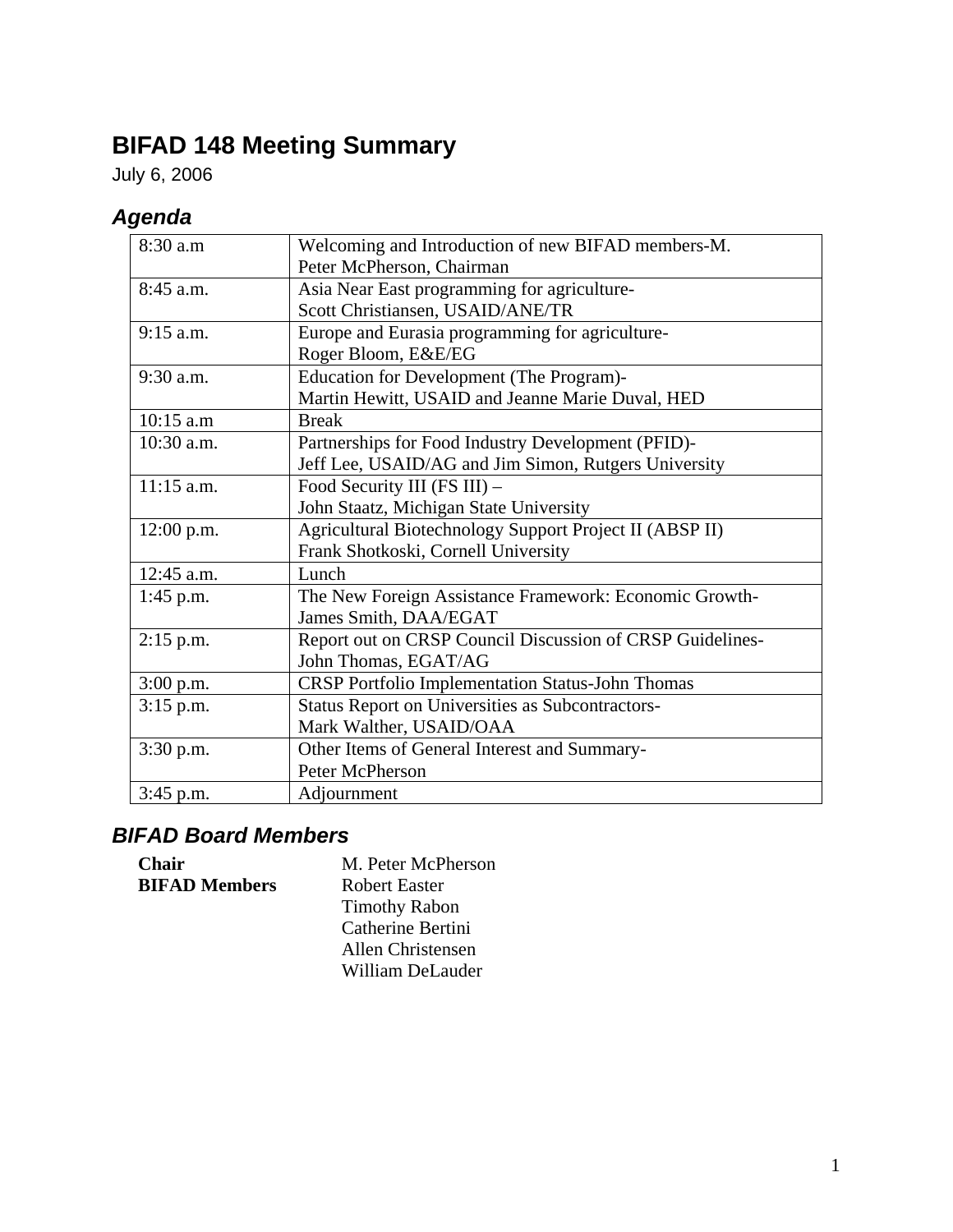# **BIFAD 148 Meeting Summary**

July 6, 2006

## *Agenda*

| 8:30 a.m     | Welcoming and Introduction of new BIFAD members-M.        |  |
|--------------|-----------------------------------------------------------|--|
|              | Peter McPherson, Chairman                                 |  |
| 8:45 a.m.    | Asia Near East programming for agriculture-               |  |
|              | Scott Christiansen, USAID/ANE/TR                          |  |
| $9:15$ a.m.  | Europe and Eurasia programming for agriculture-           |  |
|              | Roger Bloom, E&E/EG                                       |  |
| $9:30$ a.m.  | <b>Education for Development (The Program)-</b>           |  |
|              | Martin Hewitt, USAID and Jeanne Marie Duval, HED          |  |
| $10:15$ a.m  | <b>Break</b>                                              |  |
| $10:30$ a.m. | Partnerships for Food Industry Development (PFID)-        |  |
|              | Jeff Lee, USAID/AG and Jim Simon, Rutgers University      |  |
| $11:15$ a.m. | Food Security III (FS III) -                              |  |
|              | John Staatz, Michigan State University                    |  |
| 12:00 p.m.   | Agricultural Biotechnology Support Project II (ABSP II)   |  |
|              | Frank Shotkoski, Cornell University                       |  |
| $12:45$ a.m. | Lunch                                                     |  |
| $1:45$ p.m.  | The New Foreign Assistance Framework: Economic Growth-    |  |
|              | James Smith, DAA/EGAT                                     |  |
| $2:15$ p.m.  | Report out on CRSP Council Discussion of CRSP Guidelines- |  |
|              | John Thomas, EGAT/AG                                      |  |
| 3:00 p.m.    | <b>CRSP</b> Portfolio Implementation Status-John Thomas   |  |
| $3:15$ p.m.  | Status Report on Universities as Subcontractors-          |  |
|              | Mark Walther, USAID/OAA                                   |  |
| $3:30$ p.m.  | Other Items of General Interest and Summary-              |  |
|              | Peter McPherson                                           |  |
| $3:45$ p.m.  | Adjournment                                               |  |

## *BIFAD Board Members*

| <b>Chair</b>         | M. Peter McPherson   |
|----------------------|----------------------|
| <b>BIFAD Members</b> | Robert Easter        |
|                      | <b>Timothy Rabon</b> |
|                      | Catherine Bertini    |
|                      | Allen Christensen    |
|                      | William DeLauder     |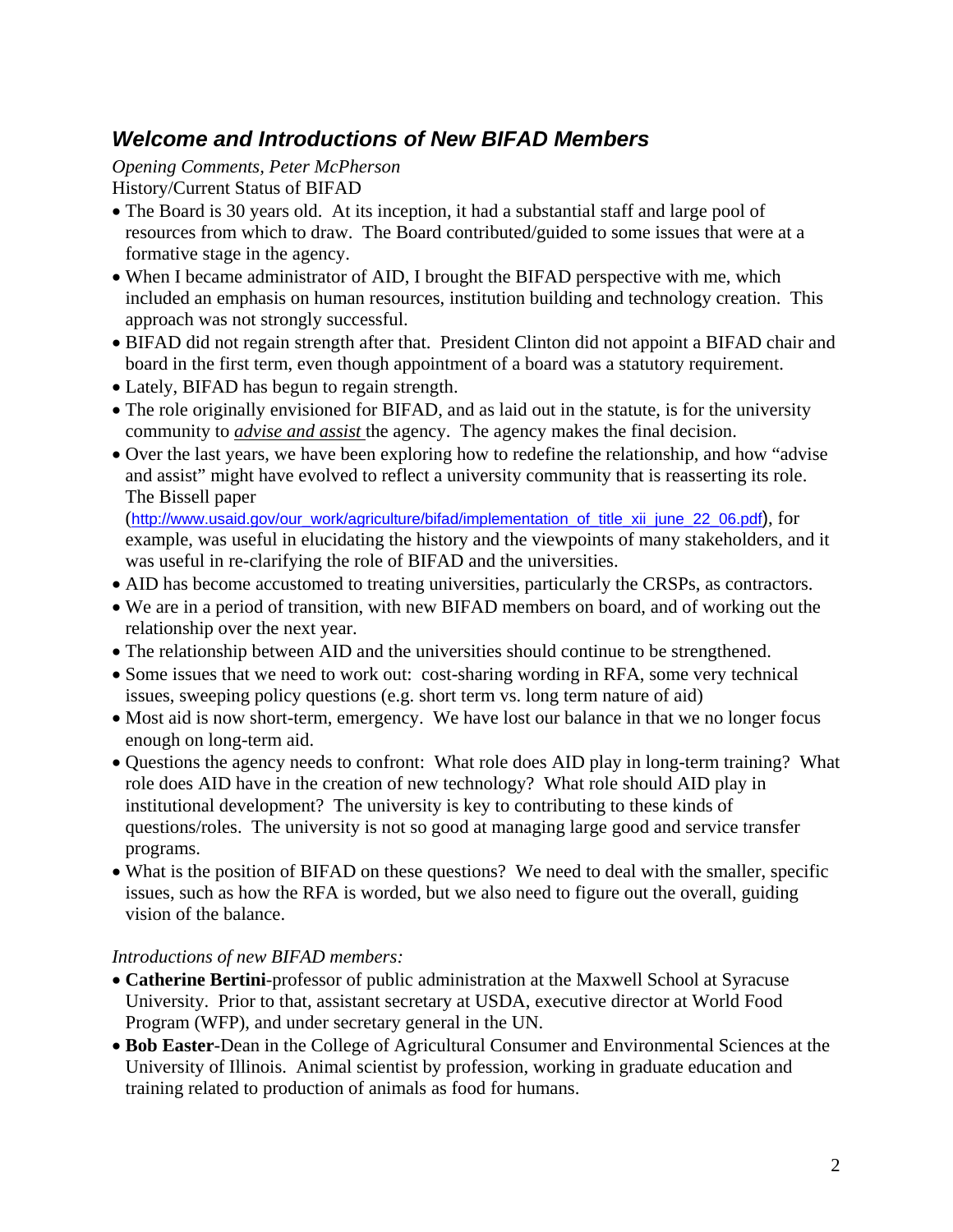### *Welcome and Introductions of New BIFAD Members*

#### *Opening Comments, Peter McPherson*

History/Current Status of BIFAD

- The Board is 30 years old. At its inception, it had a substantial staff and large pool of resources from which to draw. The Board contributed/guided to some issues that were at a formative stage in the agency.
- When I became administrator of AID, I brought the BIFAD perspective with me, which included an emphasis on human resources, institution building and technology creation. This approach was not strongly successful.
- BIFAD did not regain strength after that. President Clinton did not appoint a BIFAD chair and board in the first term, even though appointment of a board was a statutory requirement.
- Lately, BIFAD has begun to regain strength.
- The role originally envisioned for BIFAD, and as laid out in the statute, is for the university community to *advise and assist* the agency. The agency makes the final decision.
- Over the last years, we have been exploring how to redefine the relationship, and how "advise and assist" might have evolved to reflect a university community that is reasserting its role. The Bissell paper

([http://www.usaid.gov/our\\_work/agriculture/bifad/implementation\\_of\\_title\\_xii\\_june\\_22\\_06.pdf\)](http://www.usaid.gov/our_work/agriculture/bifad/implementation_of_title_xii_june_22_06.pdf), for example, was useful in elucidating the history and the viewpoints of many stakeholders, and it was useful in re-clarifying the role of BIFAD and the universities.

- AID has become accustomed to treating universities, particularly the CRSPs, as contractors.
- We are in a period of transition, with new BIFAD members on board, and of working out the relationship over the next year.
- The relationship between AID and the universities should continue to be strengthened.
- Some issues that we need to work out: cost-sharing wording in RFA, some very technical issues, sweeping policy questions (e.g. short term vs. long term nature of aid)
- Most aid is now short-term, emergency. We have lost our balance in that we no longer focus enough on long-term aid.
- Questions the agency needs to confront: What role does AID play in long-term training? What role does AID have in the creation of new technology? What role should AID play in institutional development? The university is key to contributing to these kinds of questions/roles. The university is not so good at managing large good and service transfer programs.
- What is the position of BIFAD on these questions? We need to deal with the smaller, specific issues, such as how the RFA is worded, but we also need to figure out the overall, guiding vision of the balance.

#### *Introductions of new BIFAD members:*

- **Catherine Bertini**-professor of public administration at the Maxwell School at Syracuse University. Prior to that, assistant secretary at USDA, executive director at World Food Program (WFP), and under secretary general in the UN.
- **Bob Easter**-Dean in the College of Agricultural Consumer and Environmental Sciences at the University of Illinois. Animal scientist by profession, working in graduate education and training related to production of animals as food for humans.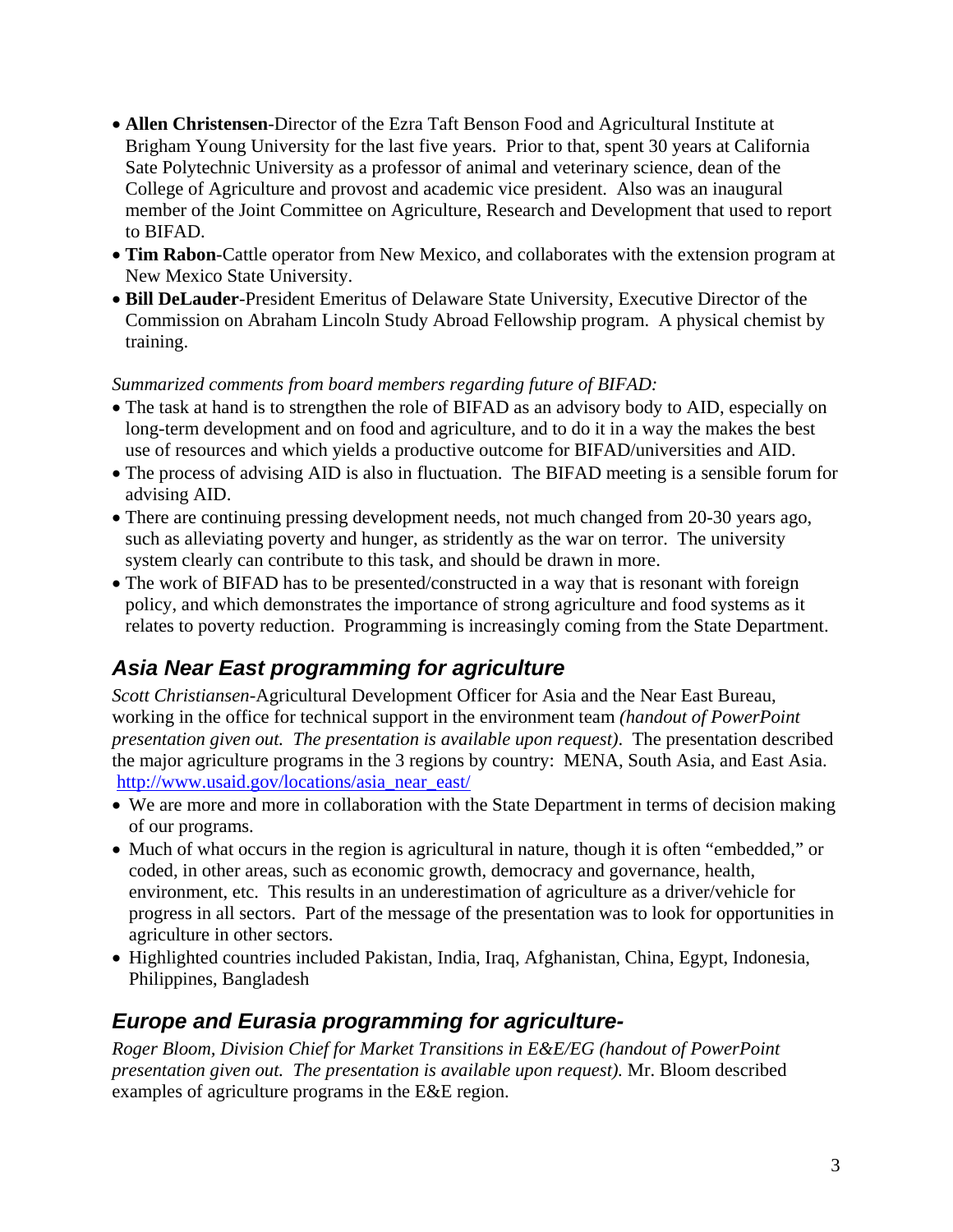- **Allen Christensen**-Director of the Ezra Taft Benson Food and Agricultural Institute at Brigham Young University for the last five years. Prior to that, spent 30 years at California Sate Polytechnic University as a professor of animal and veterinary science, dean of the College of Agriculture and provost and academic vice president. Also was an inaugural member of the Joint Committee on Agriculture, Research and Development that used to report to BIFAD.
- **Tim Rabon**-Cattle operator from New Mexico, and collaborates with the extension program at New Mexico State University.
- **Bill DeLauder**-President Emeritus of Delaware State University, Executive Director of the Commission on Abraham Lincoln Study Abroad Fellowship program. A physical chemist by training.

#### *Summarized comments from board members regarding future of BIFAD:*

- The task at hand is to strengthen the role of BIFAD as an advisory body to AID, especially on long-term development and on food and agriculture, and to do it in a way the makes the best use of resources and which yields a productive outcome for BIFAD/universities and AID.
- The process of advising AID is also in fluctuation. The BIFAD meeting is a sensible forum for advising AID.
- There are continuing pressing development needs, not much changed from 20-30 years ago, such as alleviating poverty and hunger, as stridently as the war on terror. The university system clearly can contribute to this task, and should be drawn in more.
- The work of BIFAD has to be presented/constructed in a way that is resonant with foreign policy, and which demonstrates the importance of strong agriculture and food systems as it relates to poverty reduction. Programming is increasingly coming from the State Department.

### *Asia Near East programming for agriculture*

*Scott Christiansen-*Agricultural Development Officer for Asia and the Near East Bureau, working in the office for technical support in the environment team *(handout of PowerPoint presentation given out. The presentation is available upon request)*. The presentation described the major agriculture programs in the 3 regions by country: MENA, South Asia, and East Asia. [http://www.usaid.gov/locations/asia\\_near\\_east/](http://www.usaid.gov/locations/asia_near_east/)

- We are more and more in collaboration with the State Department in terms of decision making of our programs.
- Much of what occurs in the region is agricultural in nature, though it is often "embedded," or coded, in other areas, such as economic growth, democracy and governance, health, environment, etc. This results in an underestimation of agriculture as a driver/vehicle for progress in all sectors. Part of the message of the presentation was to look for opportunities in agriculture in other sectors.
- Highlighted countries included Pakistan, India, Iraq, Afghanistan, China, Egypt, Indonesia, Philippines, Bangladesh

### *Europe and Eurasia programming for agriculture-*

*Roger Bloom, Division Chief for Market Transitions in E&E/EG (handout of PowerPoint presentation given out. The presentation is available upon request).* Mr. Bloom described examples of agriculture programs in the E&E region.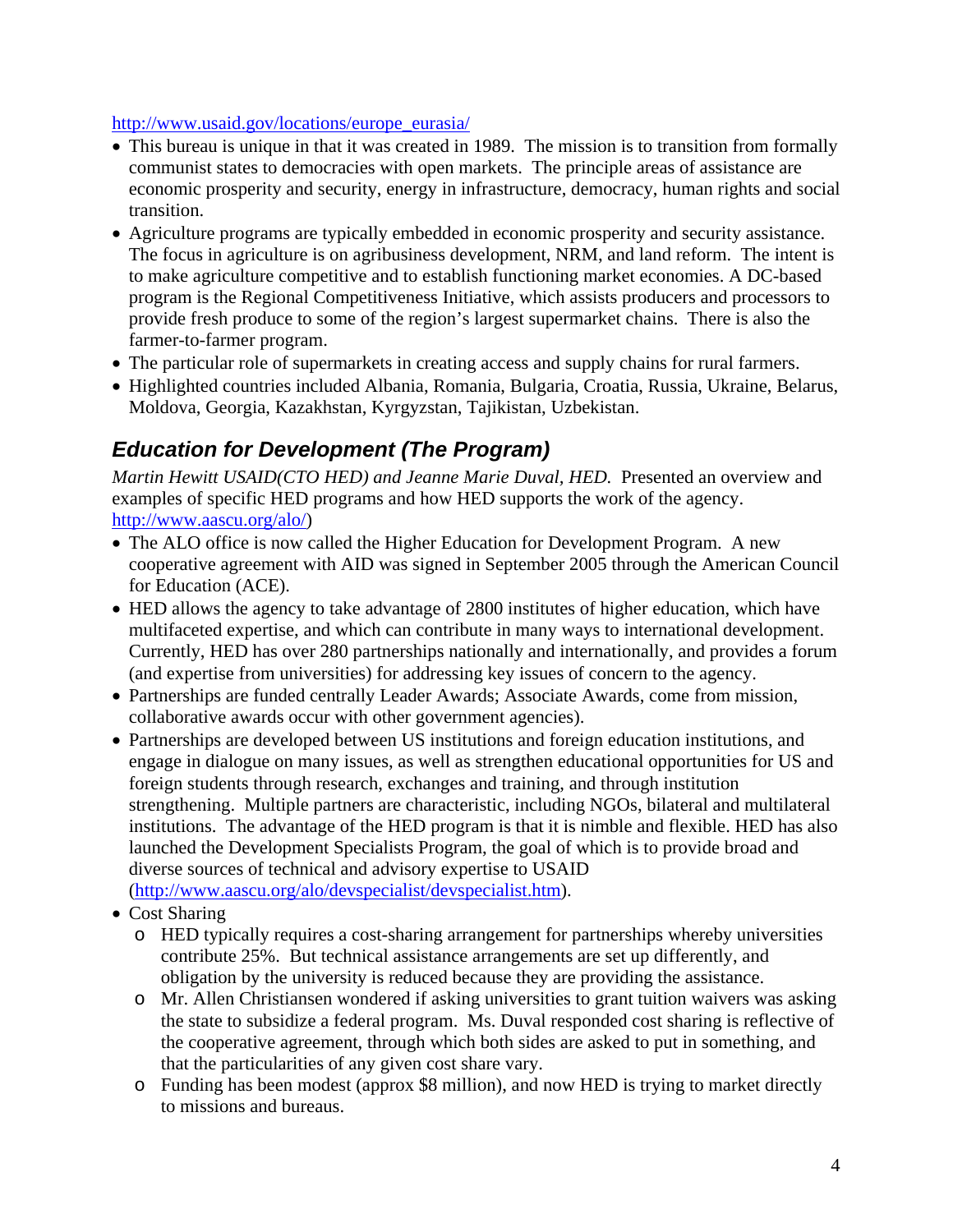#### [http://www.usaid.gov/locations/europe\\_eurasia/](http://www.usaid.gov/locations/europe_eurasia/)

- This bureau is unique in that it was created in 1989. The mission is to transition from formally communist states to democracies with open markets. The principle areas of assistance are economic prosperity and security, energy in infrastructure, democracy, human rights and social transition.
- Agriculture programs are typically embedded in economic prosperity and security assistance. The focus in agriculture is on agribusiness development, NRM, and land reform. The intent is to make agriculture competitive and to establish functioning market economies. A DC-based program is the Regional Competitiveness Initiative, which assists producers and processors to provide fresh produce to some of the region's largest supermarket chains. There is also the farmer-to-farmer program.
- The particular role of supermarkets in creating access and supply chains for rural farmers.
- Highlighted countries included Albania, Romania, Bulgaria, Croatia, Russia, Ukraine, Belarus, Moldova, Georgia, Kazakhstan, Kyrgyzstan, Tajikistan, Uzbekistan.

### *Education for Development (The Program)*

*Martin Hewitt USAID(CTO HED) and Jeanne Marie Duval, HED.* Presented an overview and examples of specific HED programs and how HED supports the work of the agency. [http://www.aascu.org/alo/\)](http://www.aascu.org/alo/)

- The ALO office is now called the Higher Education for Development Program. A new cooperative agreement with AID was signed in September 2005 through the American Council for Education (ACE).
- HED allows the agency to take advantage of 2800 institutes of higher education, which have multifaceted expertise, and which can contribute in many ways to international development. Currently, HED has over 280 partnerships nationally and internationally, and provides a forum (and expertise from universities) for addressing key issues of concern to the agency.
- Partnerships are funded centrally Leader Awards; Associate Awards, come from mission, collaborative awards occur with other government agencies).
- Partnerships are developed between US institutions and foreign education institutions, and engage in dialogue on many issues, as well as strengthen educational opportunities for US and foreign students through research, exchanges and training, and through institution strengthening. Multiple partners are characteristic, including NGOs, bilateral and multilateral institutions. The advantage of the HED program is that it is nimble and flexible. HED has also launched the Development Specialists Program, the goal of which is to provide broad and diverse sources of technical and advisory expertise to USAID ([http://www.aascu.org/alo/devspecialist/devspecialist.htm\)](http://www.aascu.org/alo/devspecialist/devspecialist.htm).
- Cost Sharing
	- o HED typically requires a cost-sharing arrangement for partnerships whereby universities contribute 25%. But technical assistance arrangements are set up differently, and obligation by the university is reduced because they are providing the assistance.
	- o Mr. Allen Christiansen wondered if asking universities to grant tuition waivers was asking the state to subsidize a federal program. Ms. Duval responded cost sharing is reflective of the cooperative agreement, through which both sides are asked to put in something, and that the particularities of any given cost share vary.
	- o Funding has been modest (approx \$8 million), and now HED is trying to market directly to missions and bureaus.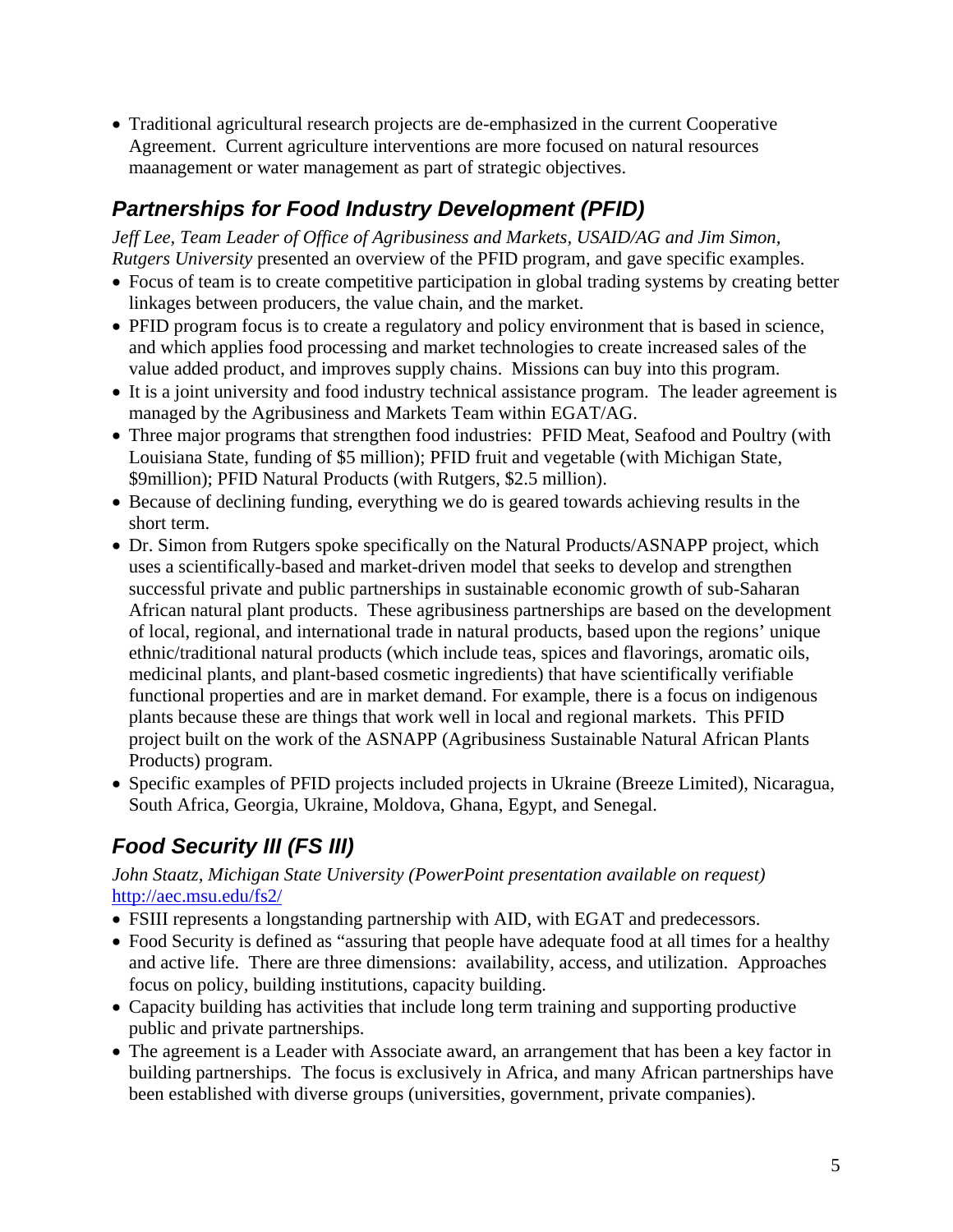• Traditional agricultural research projects are de-emphasized in the current Cooperative Agreement. Current agriculture interventions are more focused on natural resources maanagement or water management as part of strategic objectives.

## *Partnerships for Food Industry Development (PFID)*

Jeff Lee, Team Leader of Office of Agribusiness and Markets, USAID/AG and Jim Simon, *Rutgers University* presented an overview of the PFID program, and gave specific examples.

- Focus of team is to create competitive participation in global trading systems by creating better linkages between producers, the value chain, and the market.
- PFID program focus is to create a regulatory and policy environment that is based in science, and which applies food processing and market technologies to create increased sales of the value added product, and improves supply chains. Missions can buy into this program.
- It is a joint university and food industry technical assistance program. The leader agreement is managed by the Agribusiness and Markets Team within EGAT/AG.
- Three major programs that strengthen food industries: PFID Meat, Seafood and Poultry (with Louisiana State, funding of \$5 million); PFID fruit and vegetable (with Michigan State, \$9million); PFID Natural Products (with Rutgers, \$2.5 million).
- Because of declining funding, everything we do is geared towards achieving results in the short term.
- Dr. Simon from Rutgers spoke specifically on the Natural Products/ASNAPP project, which uses a scientifically-based and market-driven model that seeks to develop and strengthen successful private and public partnerships in sustainable economic growth of sub-Saharan African natural plant products. These agribusiness partnerships are based on the development of local, regional, and international trade in natural products, based upon the regions' unique ethnic/traditional natural products (which include teas, spices and flavorings, aromatic oils, medicinal plants, and plant-based cosmetic ingredients) that have scientifically verifiable functional properties and are in market demand. For example, there is a focus on indigenous plants because these are things that work well in local and regional markets. This PFID project built on the work of the ASNAPP (Agribusiness Sustainable Natural African Plants Products) program.
- Specific examples of PFID projects included projects in Ukraine (Breeze Limited), Nicaragua, South Africa, Georgia, Ukraine, Moldova, Ghana, Egypt, and Senegal.

## *Food Security III (FS III)*

#### *John Staatz, Michigan State University (PowerPoint presentation available on request)*  <http://aec.msu.edu/fs2/>

- FSIII represents a longstanding partnership with AID, with EGAT and predecessors.
- Food Security is defined as "assuring that people have adequate food at all times for a healthy and active life. There are three dimensions: availability, access, and utilization. Approaches focus on policy, building institutions, capacity building.
- Capacity building has activities that include long term training and supporting productive public and private partnerships.
- The agreement is a Leader with Associate award, an arrangement that has been a key factor in building partnerships. The focus is exclusively in Africa, and many African partnerships have been established with diverse groups (universities, government, private companies).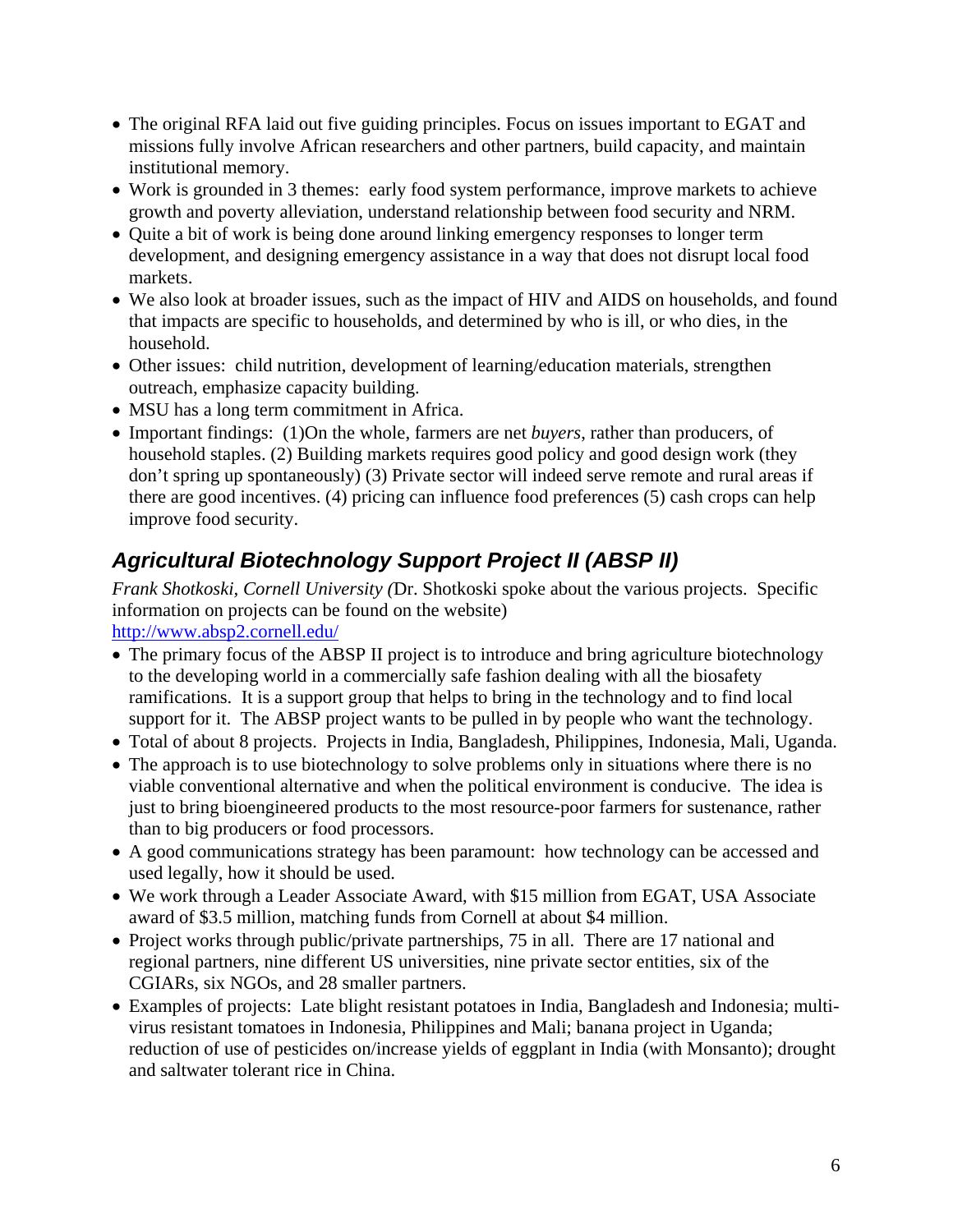- The original RFA laid out five guiding principles. Focus on issues important to EGAT and missions fully involve African researchers and other partners, build capacity, and maintain institutional memory.
- Work is grounded in 3 themes: early food system performance, improve markets to achieve growth and poverty alleviation, understand relationship between food security and NRM.
- Quite a bit of work is being done around linking emergency responses to longer term development, and designing emergency assistance in a way that does not disrupt local food markets.
- We also look at broader issues, such as the impact of HIV and AIDS on households, and found that impacts are specific to households, and determined by who is ill, or who dies, in the household.
- Other issues: child nutrition, development of learning/education materials, strengthen outreach, emphasize capacity building.
- MSU has a long term commitment in Africa.
- Important findings: (1)On the whole, farmers are net *buyers*, rather than producers, of household staples. (2) Building markets requires good policy and good design work (they don't spring up spontaneously) (3) Private sector will indeed serve remote and rural areas if there are good incentives. (4) pricing can influence food preferences (5) cash crops can help improve food security.

## *Agricultural Biotechnology Support Project II (ABSP II)*

*Frank Shotkoski, Cornell University (*Dr. Shotkoski spoke about the various projects. Specific information on projects can be found on the website)

<http://www.absp2.cornell.edu/>

- The primary focus of the ABSP II project is to introduce and bring agriculture biotechnology to the developing world in a commercially safe fashion dealing with all the biosafety ramifications. It is a support group that helps to bring in the technology and to find local support for it. The ABSP project wants to be pulled in by people who want the technology.
- Total of about 8 projects. Projects in India, Bangladesh, Philippines, Indonesia, Mali, Uganda.
- The approach is to use biotechnology to solve problems only in situations where there is no viable conventional alternative and when the political environment is conducive. The idea is just to bring bioengineered products to the most resource-poor farmers for sustenance, rather than to big producers or food processors.
- A good communications strategy has been paramount: how technology can be accessed and used legally, how it should be used.
- We work through a Leader Associate Award, with \$15 million from EGAT, USA Associate award of \$3.5 million, matching funds from Cornell at about \$4 million.
- Project works through public/private partnerships, 75 in all. There are 17 national and regional partners, nine different US universities, nine private sector entities, six of the CGIARs, six NGOs, and 28 smaller partners.
- Examples of projects: Late blight resistant potatoes in India, Bangladesh and Indonesia; multivirus resistant tomatoes in Indonesia, Philippines and Mali; banana project in Uganda; reduction of use of pesticides on/increase yields of eggplant in India (with Monsanto); drought and saltwater tolerant rice in China.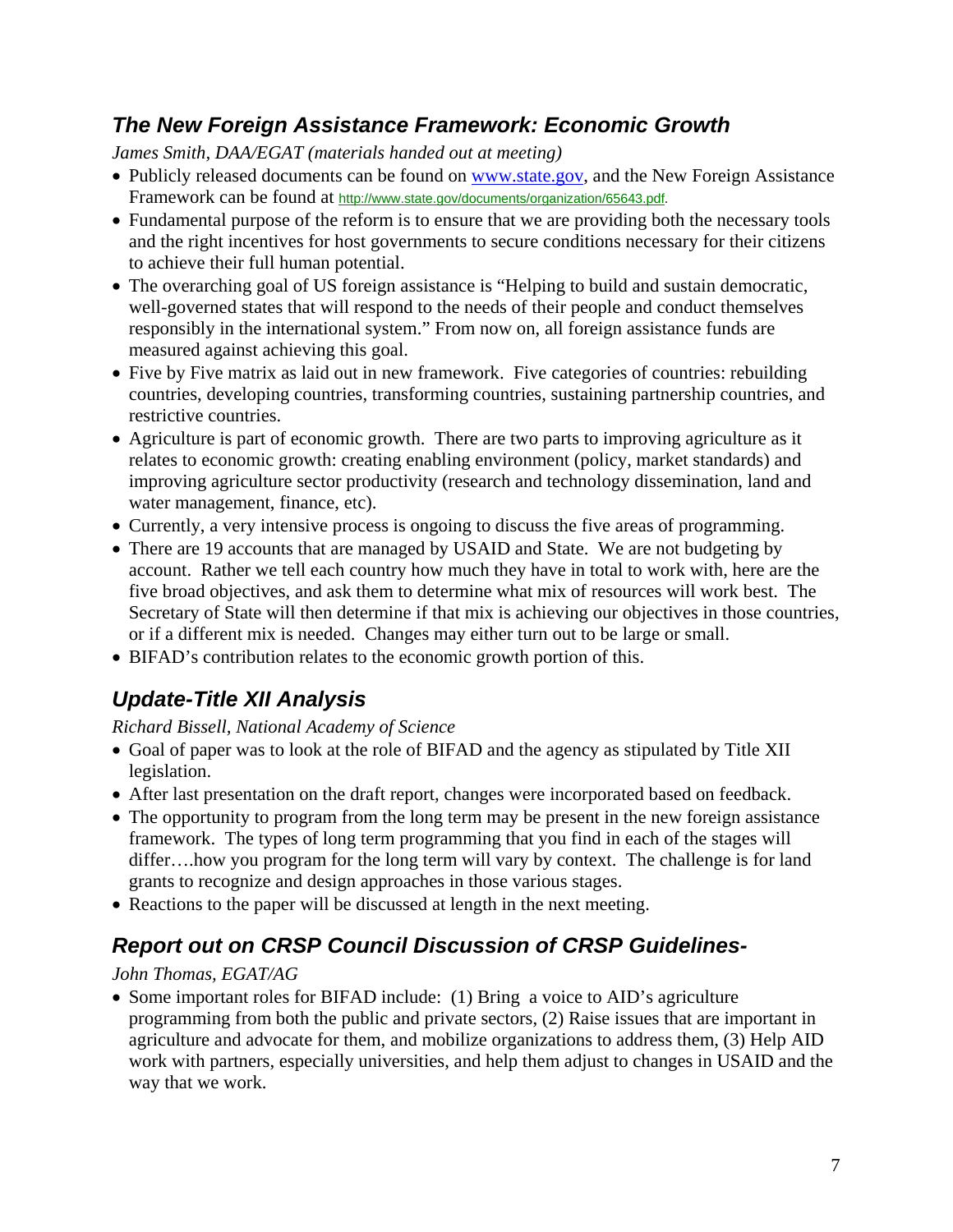### *The New Foreign Assistance Framework: Economic Growth*

*James Smith, DAA/EGAT (materials handed out at meeting)* 

- Publicly released documents can be found on [www.state.gov](http://www.state.gov/), and the New Foreign Assistance Framework can be found at <http://www.state.gov/documents/organization/65643.pdf>.
- Fundamental purpose of the reform is to ensure that we are providing both the necessary tools and the right incentives for host governments to secure conditions necessary for their citizens to achieve their full human potential.
- The overarching goal of US foreign assistance is "Helping to build and sustain democratic, well-governed states that will respond to the needs of their people and conduct themselves responsibly in the international system." From now on, all foreign assistance funds are measured against achieving this goal.
- Five by Five matrix as laid out in new framework. Five categories of countries: rebuilding countries, developing countries, transforming countries, sustaining partnership countries, and restrictive countries.
- Agriculture is part of economic growth. There are two parts to improving agriculture as it relates to economic growth: creating enabling environment (policy, market standards) and improving agriculture sector productivity (research and technology dissemination, land and water management, finance, etc).
- Currently, a very intensive process is ongoing to discuss the five areas of programming.
- There are 19 accounts that are managed by USAID and State. We are not budgeting by account. Rather we tell each country how much they have in total to work with, here are the five broad objectives, and ask them to determine what mix of resources will work best. The Secretary of State will then determine if that mix is achieving our objectives in those countries, or if a different mix is needed. Changes may either turn out to be large or small.
- BIFAD's contribution relates to the economic growth portion of this.

## *Update-Title XII Analysis*

*Richard Bissell, National Academy of Science* 

- Goal of paper was to look at the role of BIFAD and the agency as stipulated by Title XII legislation.
- After last presentation on the draft report, changes were incorporated based on feedback.
- The opportunity to program from the long term may be present in the new foreign assistance framework. The types of long term programming that you find in each of the stages will differ….how you program for the long term will vary by context. The challenge is for land grants to recognize and design approaches in those various stages.
- Reactions to the paper will be discussed at length in the next meeting.

## *Report out on CRSP Council Discussion of CRSP Guidelines-*

#### *John Thomas, EGAT/AG*

• Some important roles for BIFAD include: (1) Bring a voice to AID's agriculture programming from both the public and private sectors, (2) Raise issues that are important in agriculture and advocate for them, and mobilize organizations to address them, (3) Help AID work with partners, especially universities, and help them adjust to changes in USAID and the way that we work.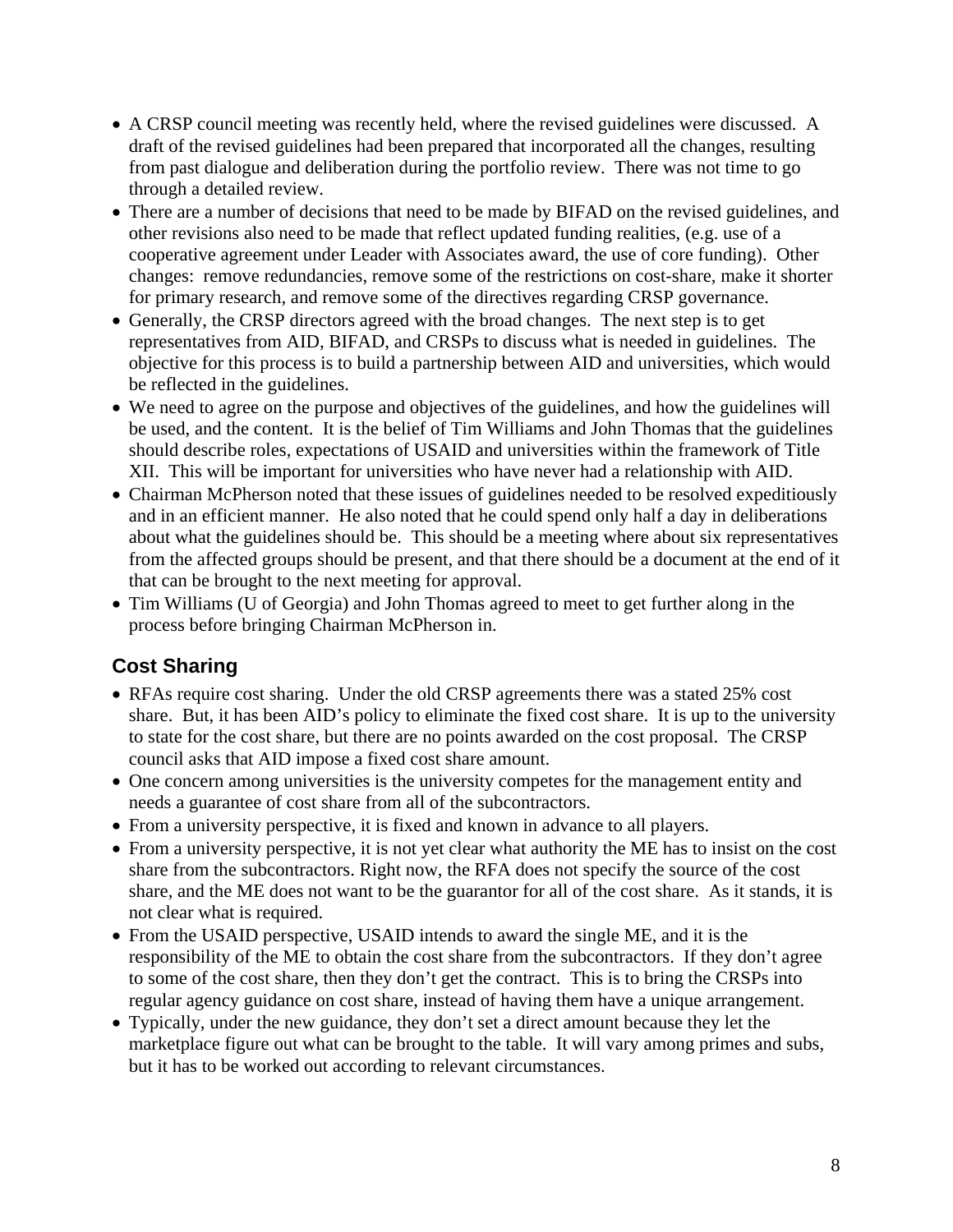- A CRSP council meeting was recently held, where the revised guidelines were discussed. A draft of the revised guidelines had been prepared that incorporated all the changes, resulting from past dialogue and deliberation during the portfolio review. There was not time to go through a detailed review.
- There are a number of decisions that need to be made by BIFAD on the revised guidelines, and other revisions also need to be made that reflect updated funding realities, (e.g. use of a cooperative agreement under Leader with Associates award, the use of core funding). Other changes: remove redundancies, remove some of the restrictions on cost-share, make it shorter for primary research, and remove some of the directives regarding CRSP governance.
- Generally, the CRSP directors agreed with the broad changes. The next step is to get representatives from AID, BIFAD, and CRSPs to discuss what is needed in guidelines. The objective for this process is to build a partnership between AID and universities, which would be reflected in the guidelines.
- We need to agree on the purpose and objectives of the guidelines, and how the guidelines will be used, and the content. It is the belief of Tim Williams and John Thomas that the guidelines should describe roles, expectations of USAID and universities within the framework of Title XII. This will be important for universities who have never had a relationship with AID.
- Chairman McPherson noted that these issues of guidelines needed to be resolved expeditiously and in an efficient manner. He also noted that he could spend only half a day in deliberations about what the guidelines should be. This should be a meeting where about six representatives from the affected groups should be present, and that there should be a document at the end of it that can be brought to the next meeting for approval.
- Tim Williams (U of Georgia) and John Thomas agreed to meet to get further along in the process before bringing Chairman McPherson in.

### **Cost Sharing**

- RFAs require cost sharing. Under the old CRSP agreements there was a stated 25% cost share. But, it has been AID's policy to eliminate the fixed cost share. It is up to the university to state for the cost share, but there are no points awarded on the cost proposal. The CRSP council asks that AID impose a fixed cost share amount.
- One concern among universities is the university competes for the management entity and needs a guarantee of cost share from all of the subcontractors.
- From a university perspective, it is fixed and known in advance to all players.
- From a university perspective, it is not yet clear what authority the ME has to insist on the cost share from the subcontractors. Right now, the RFA does not specify the source of the cost share, and the ME does not want to be the guarantor for all of the cost share. As it stands, it is not clear what is required.
- From the USAID perspective, USAID intends to award the single ME, and it is the responsibility of the ME to obtain the cost share from the subcontractors. If they don't agree to some of the cost share, then they don't get the contract. This is to bring the CRSPs into regular agency guidance on cost share, instead of having them have a unique arrangement.
- Typically, under the new guidance, they don't set a direct amount because they let the marketplace figure out what can be brought to the table. It will vary among primes and subs, but it has to be worked out according to relevant circumstances.